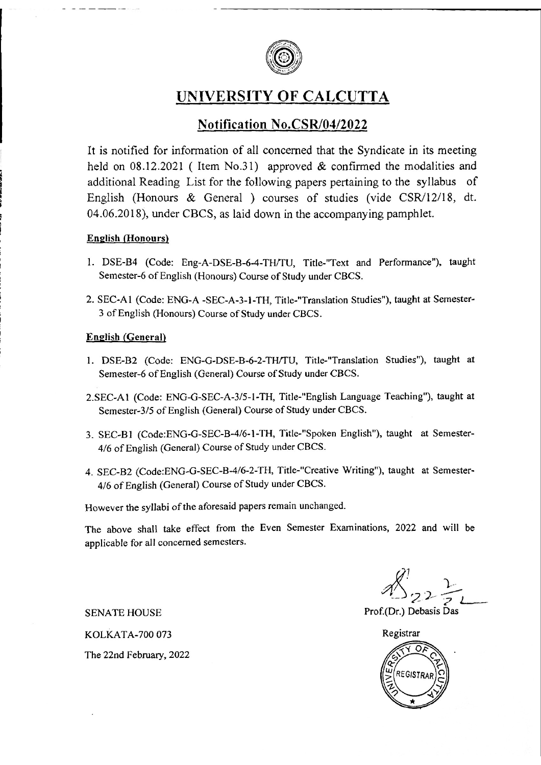

UNIVERSITY OF CALCUTTA

# Notification No.CSR/04/2022

It is notified for information of all concerned that the Syndicate in its meeting held on  $08.12.2021$  (Item No.31) approved & confirmed the modalities and additional Reading List for the following papers pertaining to the syllabus of English (Honours & General) courses of studies (vide CSR/12/18, dt. 04.06.2018), under CBCS, as laid down in the accompanying pamphlet.

#### **English (Honours)**

- 1. DSE-B4 (Code: Eng-A-DSE-B-6-4-TH/TU, Title-"Text and Performance"), taught Semester-6 of English (Honours) Course of Study under CBCS.
- 2. SEC-A1 (Code: ENG-A -SEC-A-3-1-TH, Title-"Translation Studies"), taught at Semester-3 of English (Honours) Course of Study under CBCS.

#### **English (General)**

- 1. DSE-B2 (Code: ENG-G-DSE-B-6-2-TH/TU, Title-"Translation Studies"), taught at Semester-6 of English (General) Course of Study under CBCS.
- 2.SEC-A1 (Code: ENG-G-SEC-A-3/5-1-TH, Title-"English Language Teaching"), taught at Semester-3/5 of English (General) Course of Study under CBCS.
- 3. SEC-B1 (Code:ENG-G-SEC-B-4/6-1-TH, Title-"Spoken English"), taught at Semester-4/6 of English (General) Course of Study under CBCS.
- 4. SEC-B2 (Code:ENG-G-SEC-B-4/6-2-TH, Title-"Creative Writing"), taught at Semester-4/6 of English (General) Course of Study under CBCS.

However the syllabi of the aforesaid papers remain unchanged.

The above shall take effect from the Even Semester Examinations, 2022 and will be applicable for all concerned semesters.

Prof.(Dr.) Debasis Das

Registrar O. **REGISTRAR** 

KOLKATA-700 073 The 22nd February, 2022

**SENATE HOUSE**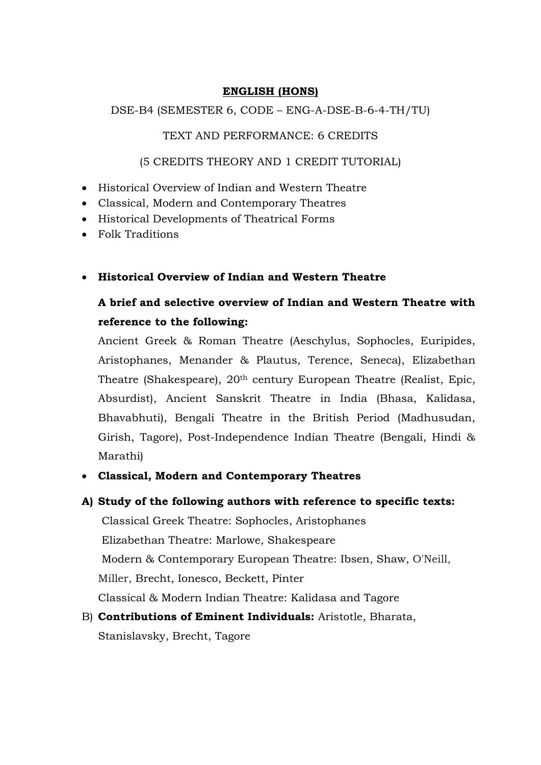#### **ENGLISH (HONS)**

DSE-B4 (SEMESTER 6, CODE – ENG-A-DSE-B-6-4-TH/TU)

### TEXT AND PERFORMANCE: 6 CREDITS

### (5 CREDITS THEORY AND 1 CREDIT TUTORIAL)

- Historical Overview of Indian and Western Theatre
- Classical, Modern and Contemporary Theatres
- Historical Developments of Theatrical Forms
- Folk Traditions
- **Historical Overview of Indian and Western Theatre**

# **A brief and selective overview of Indian and Western Theatre with reference to the following:**

Ancient Greek & Roman Theatre (Aeschylus, Sophocles, Euripides, Aristophanes, Menander & Plautus, Terence, Seneca), Elizabethan Theatre (Shakespeare), 20th century European Theatre (Realist, Epic, Absurdist), Ancient Sanskrit Theatre in India (Bhasa, Kalidasa, Bhavabhuti), Bengali Theatre in the British Period (Madhusudan, Girish, Tagore), Post-Independence Indian Theatre (Bengali, Hindi & Marathi)

- **Classical, Modern and Contemporary Theatres**
- **A) Study of the following authors with reference to specific texts:**

Classical Greek Theatre: Sophocles, Aristophanes Elizabethan Theatre: Marlowe, Shakespeare Modern & Contemporary European Theatre: Ibsen, Shaw, O'Neill, Miller, Brecht, Ionesco, Beckett, Pinter Classical & Modern Indian Theatre: Kalidasa and Tagore

B) **Contributions of Eminent Individuals:** Aristotle, Bharata, Stanislavsky, Brecht, Tagore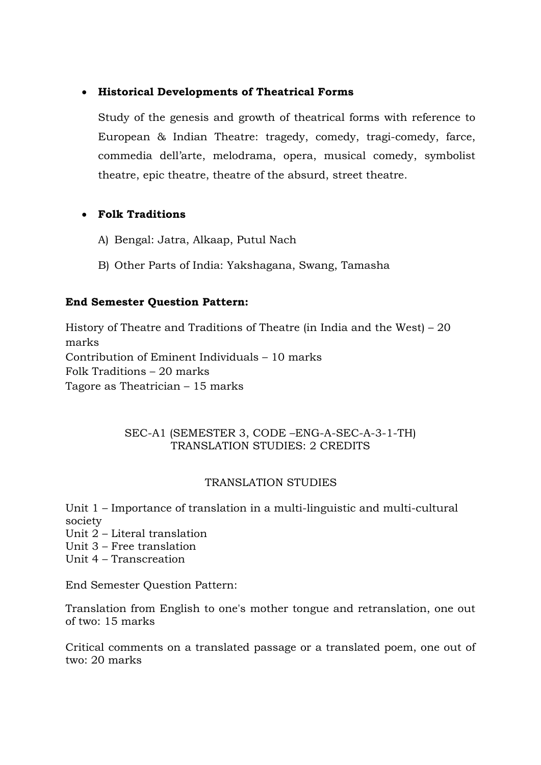# • **Historical Developments of Theatrical Forms**

Study of the genesis and growth of theatrical forms with reference to European & Indian Theatre: tragedy, comedy, tragi-comedy, farce, commedia dell'arte, melodrama, opera, musical comedy, symbolist theatre, epic theatre, theatre of the absurd, street theatre.

# • **Folk Traditions**

- A) Bengal: Jatra, Alkaap, Putul Nach
- B) Other Parts of India: Yakshagana, Swang, Tamasha

# **End Semester Question Pattern:**

History of Theatre and Traditions of Theatre (in India and the West) – 20 marks Contribution of Eminent Individuals – 10 marks Folk Traditions – 20 marks Tagore as Theatrician – 15 marks

### SEC-A1 (SEMESTER 3, CODE –ENG-A-SEC-A-3-1-TH) TRANSLATION STUDIES: 2 CREDITS

# TRANSLATION STUDIES

Unit 1 – Importance of translation in a multi-linguistic and multi-cultural society

- Unit 2 Literal translation
- Unit 3 Free translation
- Unit 4 Transcreation

End Semester Question Pattern:

Translation from English to one's mother tongue and retranslation, one out of two: 15 marks

Critical comments on a translated passage or a translated poem, one out of two: 20 marks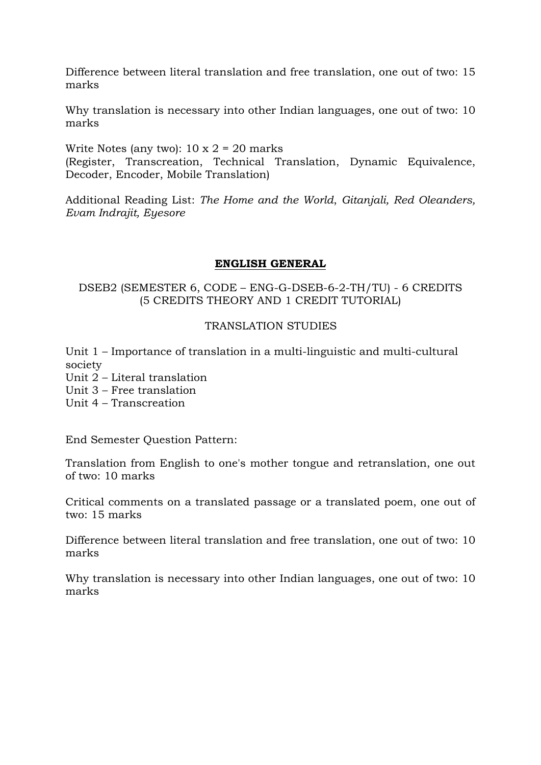Difference between literal translation and free translation, one out of two: 15 marks

Why translation is necessary into other Indian languages, one out of two: 10 marks

Write Notes (any two):  $10 \times 2 = 20$  marks (Register, Transcreation, Technical Translation, Dynamic Equivalence, Decoder, Encoder, Mobile Translation)

Additional Reading List: *The Home and the World*, *Gitanjali, Red Oleanders, Evam Indrajit, Eyesore*

#### **ENGLISH GENERAL**

DSEB2 (SEMESTER 6, CODE – ENG-G-DSEB-6-2-TH/TU) - 6 CREDITS (5 CREDITS THEORY AND 1 CREDIT TUTORIAL)

#### TRANSLATION STUDIES

Unit 1 – Importance of translation in a multi-linguistic and multi-cultural society

Unit 2 – Literal translation

Unit 3 – Free translation

Unit 4 – Transcreation

End Semester Question Pattern:

Translation from English to one's mother tongue and retranslation, one out of two: 10 marks

Critical comments on a translated passage or a translated poem, one out of two: 15 marks

Difference between literal translation and free translation, one out of two: 10 marks

Why translation is necessary into other Indian languages, one out of two: 10 marks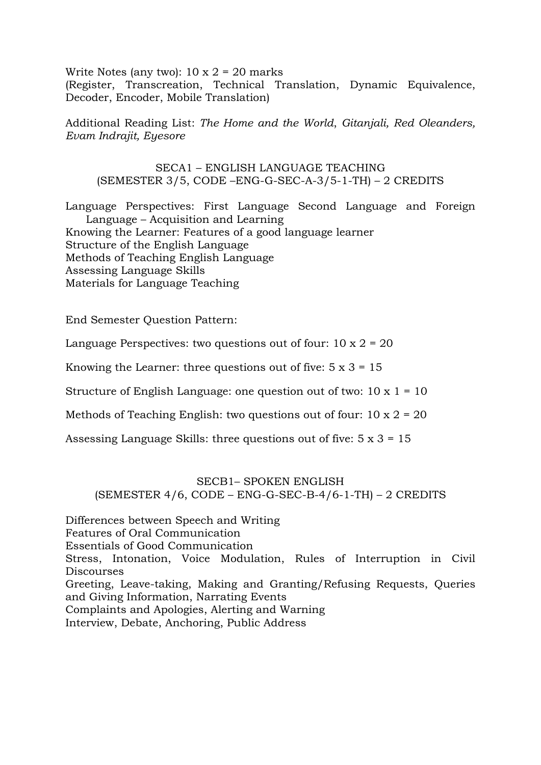Write Notes (any two):  $10 \times 2 = 20$  marks (Register, Transcreation, Technical Translation, Dynamic Equivalence, Decoder, Encoder, Mobile Translation)

Additional Reading List: *The Home and the World*, *Gitanjali, Red Oleanders, Evam Indrajit, Eyesore*

SECA1 – ENGLISH LANGUAGE TEACHING (SEMESTER 3/5, CODE –ENG-G-SEC-A-3/5-1-TH) – 2 CREDITS

Language Perspectives: First Language Second Language and Foreign Language – Acquisition and Learning Knowing the Learner: Features of a good language learner Structure of the English Language Methods of Teaching English Language Assessing Language Skills Materials for Language Teaching

End Semester Question Pattern:

Language Perspectives: two questions out of four:  $10 \times 2 = 20$ 

Knowing the Learner: three questions out of five:  $5 \times 3 = 15$ 

Structure of English Language: one question out of two:  $10 \times 1 = 10$ 

Methods of Teaching English: two questions out of four:  $10 \times 2 = 20$ 

Assessing Language Skills: three questions out of five:  $5 \times 3 = 15$ 

#### SECB1– SPOKEN ENGLISH  $(SEMESTER 4/6, CODE - ENG-G-SEC-B-4/6-1-TH) - 2 CREDITS$

Differences between Speech and Writing Features of Oral Communication Essentials of Good Communication Stress, Intonation, Voice Modulation, Rules of Interruption in Civil **Discourses** Greeting, Leave-taking, Making and Granting/Refusing Requests, Queries and Giving Information, Narrating Events Complaints and Apologies, Alerting and Warning Interview, Debate, Anchoring, Public Address